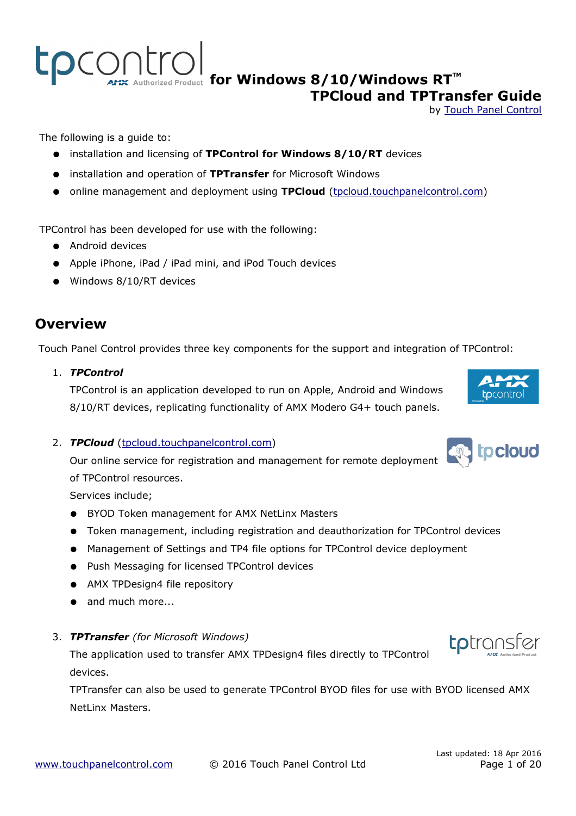The following is a guide to:

- installation and licensing of **TPControl for Windows 8/10/RT** devices
- installation and operation of **TPTransfer** for Microsoft Windows
- online management and deployment using **TPCloud** (tpcloud.touchpanelcontrol.com)

TPControl has been developed for use with the following:

- Android devices
- Apple iPhone, iPad / iPad mini, and iPod Touch devices
- Windows 8/10/RT devices

## **Overview**

Touch Panel Control provides three key components for the support and integration of TPControl:

1. *TPControl*

TPControl is an application developed to run on Apple, Android and Windows 8/10/RT devices, replicating functionality of AMX Modero G4+ touch panels.

#### 2. **TPCloud** (tpcloud.touchpanelcontrol.com)

Our online service for registration and management for remote deployment of TPControl resources.

Services include;

- BYOD Token management for AMX NetLinx Masters
- Token management, including registration and deauthorization for TPControl devices
- Management of Settings and TP4 file options for TPControl device deployment
- Push Messaging for licensed TPControl devices
- AMX TPDesign4 file repository
- and much more...
- 3. *TPTransfer (for Microsoft Windows)*

The application used to transfer AMX TPDesign4 files directly to TPControl devices.

TPTransfer can also be used to generate TPControl BYOD files for use with BYOD licensed AMX NetLinx Masters.









### **APIX Authorized Product [f](http://www.touchpanelcontrol.com/products.html)or Windows 8/10/Windows RT<sup>TM</sup> TPCloud and TPTransfer Guide**

by [Touch Panel Control](http://www.touchpanelcontrol.com/)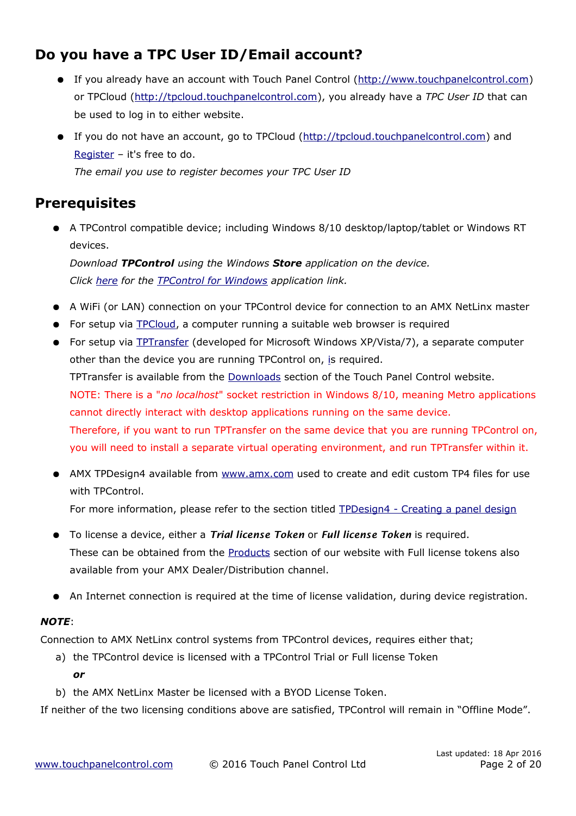## **Do you have a TPC User ID/Email account?**

- If you already have an account with [Touch Panel Control](file:///D:/Logan/Google%20Drive/TPC/TPC%20Manuals_APIs/(http://www.touchpanelcontrol.com)%20) [\(http://www.touchpanelcontrol.com\)](http://www.touchpanelcontrol.com/) or TPCloud [\(http://tpcloud.touchpanelcontrol.com\)](http://tpcloud.touchpanelcontrol.com/), you already have a *TPC User ID* that can be used to log in to either website.
- If you do not have an account, go to [TPCloud](http://tpcloud.touchpanelcontrol.com/) [\(http://tpcloud.touchpanelcontrol.com\)](http://tpcloud.touchpanelcontrol.com/) and [Register](http://tpcloud.touchpanelcontrol.com/en/user/register) – it's free to do. *The email you use to register becomes your TPC User ID*

## **Prerequisites**

● A TPControl compatible device; including Windows 8/10 desktop/laptop/tablet or Windows RT devices.

*Download TPControl using the Windows Store application on the device. Click [here](http://apps.microsoft.com/windows/app/tpcontrol/ee1100ec-9caa-4977-8289-508ecdac89fa) for the [TPControl for Windows](http://apps.microsoft.com/windows/app/tpcontrol/ee1100ec-9caa-4977-8289-508ecdac89fa) application link.*

- A WiFi (or LAN) connection on your TPControl device for connection to an AMX NetLinx master
- For setup via [TPCloud,](http://tpcloud.touchpanelcontrol.com/) a computer running a suitable web browser is required
- For setup via [TPTransfer](https://www.touchpanelcontrol.com/catalog/product/redirect/type/tptransfer/latest/1/s/w) (developed for Microsoft Windows XP/Vista/7), a separate computer other than the device you are running TPControl on, [is](http://tpcloud.touchpanelcontrol.com/) required. TPTransfer is available from the [Downloads](http://www.touchpanelcontrol.com/catalog/product/download) section of the Touch Panel Control website. NOTE: There is a "*no localhost*" socket restriction in Windows 8/10, meaning Metro applications cannot directly interact with desktop applications running on the same device. Therefore, if you want to run TPTransfer on the same device that you are running TPControl on, you will need to install a separate virtual operating environment, and run TPTransfer within it.
- AMX TPDesign4 available from www.amx.com used to create and edit custom TP4 files for use with TPControl. For more information, please refer to the section titled [TPDesign4 - Creating a panel design](#page-3-0)
- To license a device, either a *Trial license Token* or *Full license Token* is required. These can be obtained from the [Products](http://www.touchpanelcontrol.com/products.html/) section of our website with Full license tokens also available from your AMX Dealer/Distribution channel.
- An Internet connection is required at the time of license validation, during device registration.

### *NOTE*:

Connection to AMX NetLinx control systems from TPControl devices, requires either that;

- a) the TPControl device is licensed with a TPControl Trial or Full license Token *or*
- b) the AMX NetLinx Master be licensed with a BYOD License Token.

If neither of the two licensing conditions above are satisfied, TPControl will remain in "Offline Mode".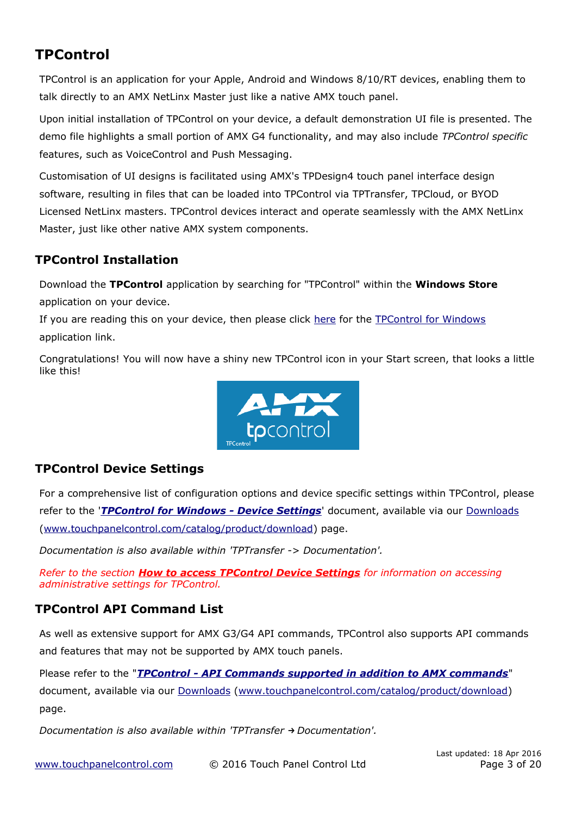## **TPControl**

TPControl is an application for your Apple, Android and Windows 8/10/RT devices, enabling them to talk directly to an AMX NetLinx Master just like a native AMX touch panel.

Upon initial installation of TPControl on your device, a default demonstration UI file is presented. The demo file highlights a small portion of AMX G4 functionality, and may also include *TPControl specific* features, such as VoiceControl and Push Messaging.

Customisation of UI designs is facilitated using AMX's TPDesign4 touch panel interface design software, resulting in files that can be loaded into TPControl via TPTransfer, TPCloud, or BYOD Licensed NetLinx masters. TPControl devices interact and operate seamlessly with the AMX NetLinx Master, just like other native AMX system components.

### **TPControl Installation**

Download the **TPControl** application by searching for "TPControl" within the **Windows Store** application on your device.

If you are reading this on your device, then please click [here](http://apps.microsoft.com/windows/app/tpcontrol/ee1100ec-9caa-4977-8289-508ecdac89fa) for the [TPControl for Windows](http://apps.microsoft.com/windows/app/tpcontrol/ee1100ec-9caa-4977-8289-508ecdac89fa) application link.

Congratulations! You will now have a shiny new TPControl icon in your Start screen, that looks a little like this!



### <span id="page-2-0"></span>**TPControl Device Settings**

For a comprehensive list of configuration options and device specific settings within TPControl, please refer to the '*[TPControl for Windows - Device Settings](http://www.touchpanelcontrol.com/files/pdf/TPControl%20for%20Windows%20-%20Device%20Settings.pdf)*' document, available via our [Downloads](http://www.touchpanelcontrol.com/catalog/product/download) [\(www.touchpanelcontrol.com/catalog/product/download\)](http://www.touchpanelcontrol.com/catalog/product/download) page.

*Documentation is also available within 'TPTransfer -> Documentation'.*

*Refer to the section [How to access TPControl Device Settings](#page-10-0) for information on accessing administrative settings for TPControl.*

### **TPControl API Command List**

As well as extensive support for AMX G3/G4 API commands, TPControl also supports API commands and features that may not be supported by AMX touch panels.

Please refer to the "*[TPControl - API Commands supported in addition to AMX commands](http://www.touchpanelcontrol.com/files/pdf/TPControl%20-%20API%20Commands%20supported%20in%20addition%20to%20AMX%20commands.pdf)*" document, available via our [Downloads \(www.touchpanelcontrol.com/catalog/product/download\)](http://www.touchpanelcontrol.com/catalog/product/download) page.

*Documentation is also available within 'TPTransfer → Documentation'.*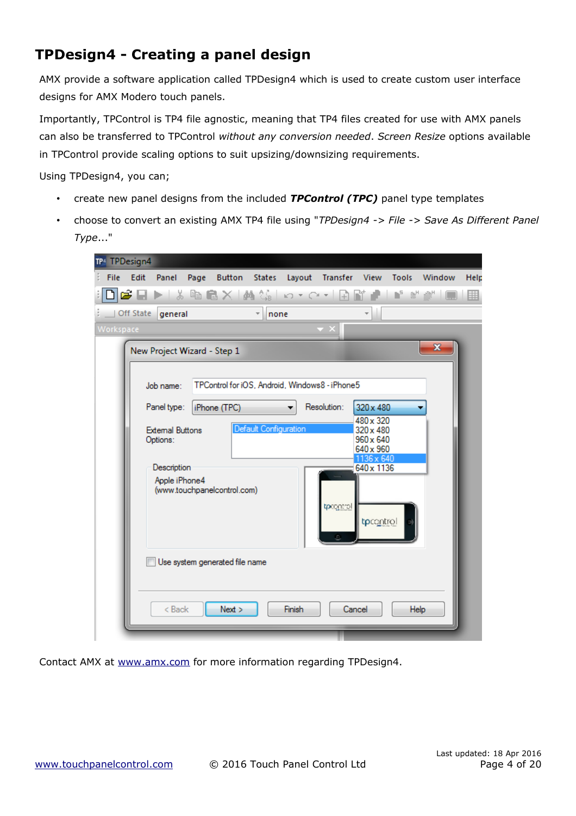## <span id="page-3-0"></span>**TPDesign4 - Creating a panel design**

AMX provide a software application called TPDesign4 which is used to create custom user interface designs for AMX Modero touch panels.

Importantly, TPControl is TP4 file agnostic, meaning that TP4 files created for use with AMX panels can also be transferred to TPControl *without any conversion needed*. *Screen Resize* options available in TPControl provide scaling options to suit upsizing/downsizing requirements.

Using TPDesign4, you can;

- create new panel designs from the included *TPControl (TPC)* panel type templates
- choose to convert an existing AMX TP4 file using "*TPDesign4 -> File -> Save As Different Panel Type*..."

| TP4 TPDesign4                                                                                                                                                                                                                                                                                            |      |
|----------------------------------------------------------------------------------------------------------------------------------------------------------------------------------------------------------------------------------------------------------------------------------------------------------|------|
| Edit<br>Panel Page<br>Button States Layout Transfer View Tools<br>Window<br>File                                                                                                                                                                                                                         | Help |
| <b>GBDD ☆晒僵Ⅹ 晶第 ○∽◯∽ 丑聞♪ ♪*** </b>                                                                                                                                                                                                                                                                       | 壨    |
| $\overline{\phantom{a}}$<br>none<br>Off State general                                                                                                                                                                                                                                                    |      |
| Workspace                                                                                                                                                                                                                                                                                                |      |
| x<br>New Project Wizard - Step 1                                                                                                                                                                                                                                                                         |      |
| TPControl for iOS, Android, Windows8 - iPhone5<br>Job name:                                                                                                                                                                                                                                              |      |
| Resolution:<br>Panel type:<br>iPhone (TPC)<br>320 x 480<br>480 x 320<br>Default Configuration<br><b>External Buttons</b><br>320 x 480<br>$960 \times 640$<br>Options:<br>640 x 960<br>1136 x 640<br>640 x 1136<br>Description<br>Apple iPhone4<br>(www.touchpanelcontrol.com)<br>tprogritol<br>tpcontrol |      |
| Use system generated file name<br>$Back$<br>Next<br>Finish<br>Cancel<br>Help                                                                                                                                                                                                                             |      |
|                                                                                                                                                                                                                                                                                                          |      |

Contact AMX at [www.amx.com](http://www.amx.com/) for more information regarding TPDesign4.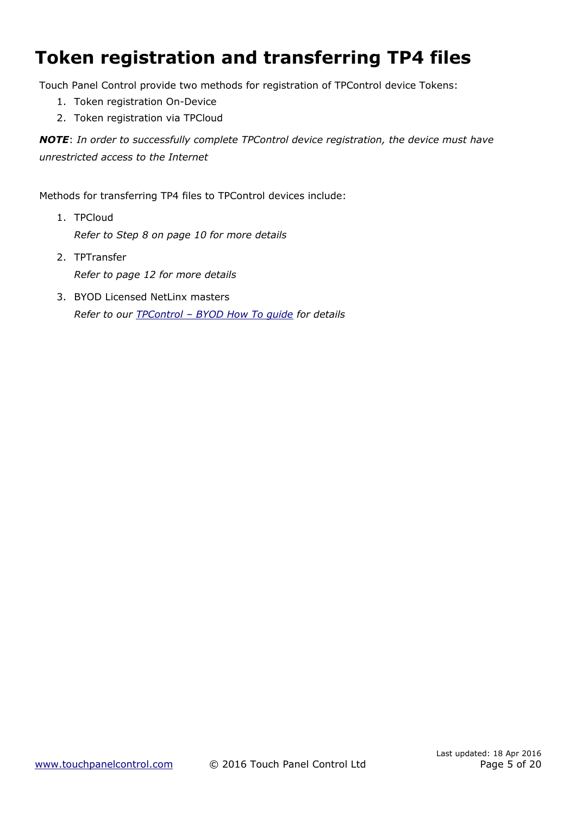# **Token registration and transferring TP4 files**

Touch Panel Control provide two methods for registration of TPControl device Tokens:

- 1. [Token registration On-Device](#page-5-0)
- 2. [Token registration via TPCloud](#page-6-0)

*NOTE*: *In order to successfully complete TPControl device registration, the device must have unrestricted access to the Internet*

Methods for transferring TP4 files to TPControl devices include:

- 1. TPCloud *Refer to Step [8](#page-9-0) on page [10](#page-9-0) for more details*
- 2. TPTransfer *Refer to page [12](#page-11-0) for more details*
- 3. BYOD Licensed NetLinx masters *Refer to our [TPControl – BYOD How To guide](http://www.touchpanelcontrol.com/files/pdf/TPControl%20-%20BYOD%20How%20To.pdf) for details*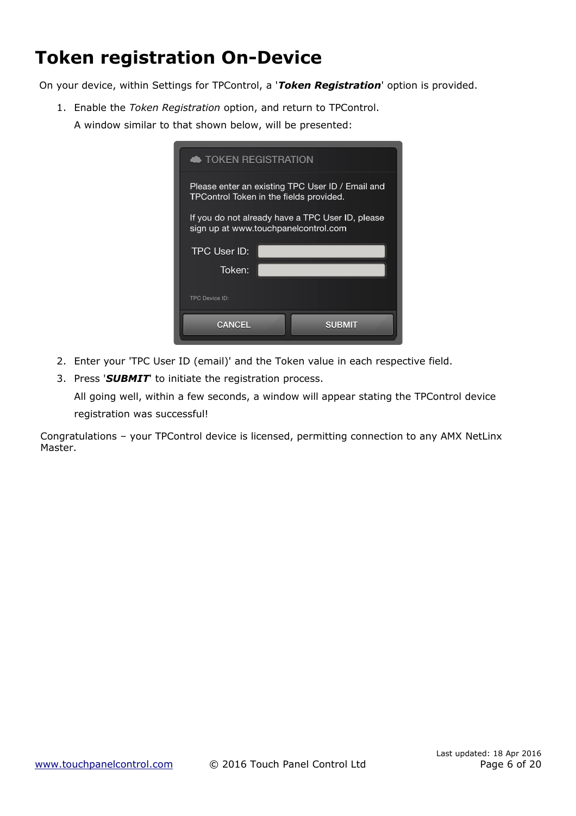# <span id="page-5-0"></span>**Token registration On-Device**

On your device, within Settings for TPControl, a '*Token Registration*' option is provided.

1. Enable the *Token Registration* option, and return to TPControl. A window similar to that shown below, will be presented:

| <b>TOKEN REGISTRATION</b>                                                                          |                                                                                          |  |  |  |  |  |
|----------------------------------------------------------------------------------------------------|------------------------------------------------------------------------------------------|--|--|--|--|--|
| Please enter an existing TPC User ID / Email and<br><b>TPControl Token in the fields provided.</b> |                                                                                          |  |  |  |  |  |
|                                                                                                    | If you do not already have a TPC User ID, please<br>sign up at www.touchpanelcontrol.com |  |  |  |  |  |
| <b>TPC User ID:</b>                                                                                |                                                                                          |  |  |  |  |  |
| Token:                                                                                             |                                                                                          |  |  |  |  |  |
| TPC Device ID:                                                                                     |                                                                                          |  |  |  |  |  |
|                                                                                                    |                                                                                          |  |  |  |  |  |

- 2. Enter your 'TPC User ID (email)' and the Token value in each respective field.
- 3. Press '*SUBMIT*' to initiate the registration process.

All going well, within a few seconds, a window will appear stating the TPControl device registration was successful!

Congratulations – your TPControl device is licensed, permitting connection to any AMX NetLinx Master.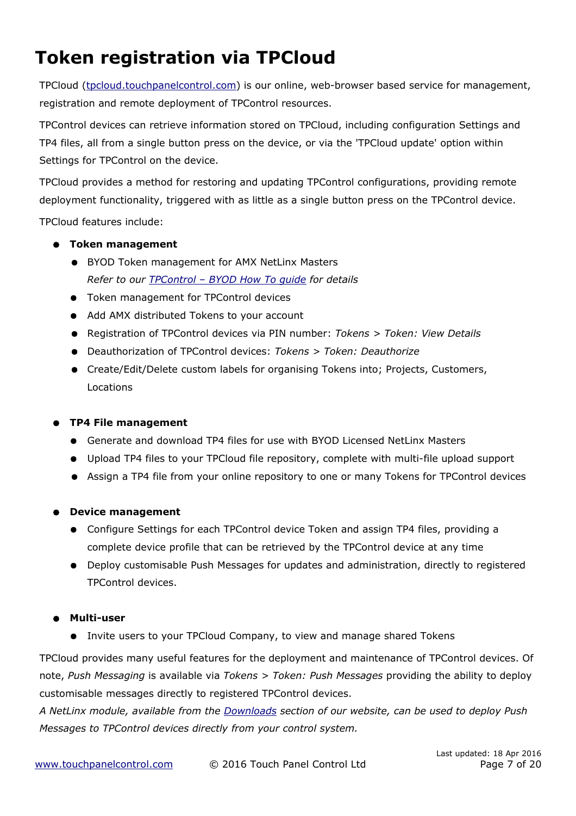# <span id="page-6-0"></span>**Token registration via TPCloud**

TPCloud (tpcloud.touchpanelcontrol.com) is our online, web-browser based service for management, registration and remote deployment of TPControl resources.

TPControl devices can retrieve information stored on TPCloud, including configuration Settings and TP4 files, all from a single button press on the device, or via the 'TPCloud update' option within Settings for TPControl on the device.

TPCloud provides a method for restoring and updating TPControl configurations, providing remote deployment functionality, triggered with as little as a single button press on the TPControl device.

TPCloud features include:

- **Token management**
	- BYOD Token management for AMX NetLinx Masters *Refer to our [TPControl – BYOD How To guide](http://www.touchpanelcontrol.com/files/pdf/TPControl%20-%20BYOD%20How%20To.pdf) for details*
	- Token management for TPControl devices
	- Add AMX distributed Tokens to your account
	- Registration of TPControl devices via PIN number: *Tokens > Token: View Details*
	- Deauthorization of TPControl devices: *Tokens > Token: Deauthorize*
	- Create/Edit/Delete custom labels for organising Tokens into; Projects, Customers, Locations

#### ● **TP4 File management**

- Generate and download TP4 files for use with BYOD Licensed NetLinx Masters
- Upload TP4 files to your TPCloud file repository, complete with multi-file upload support
- Assign a TP4 file from your online repository to one or many Tokens for TPControl devices

#### ● **Device management**

- Configure Settings for each TPControl device Token and assign TP4 files, providing a complete device profile that can be retrieved by the TPControl device at any time
- Deploy customisable Push Messages for updates and administration, directly to registered TPControl devices.

#### ● **Multi-user**

● Invite users to your TPCloud Company, to view and manage shared Tokens

TPCloud provides many useful features for the deployment and maintenance of TPControl devices. Of note, *Push Messaging* is available via *Tokens > Token: Push Messages* providing the ability to deploy customisable messages directly to registered TPControl devices.

*A NetLinx module, available from the [Downloads](http://www.touchpanelcontrol.com/catalog/product/download) section of our website, can be used to deploy Push Messages to TPControl devices directly from your control system.*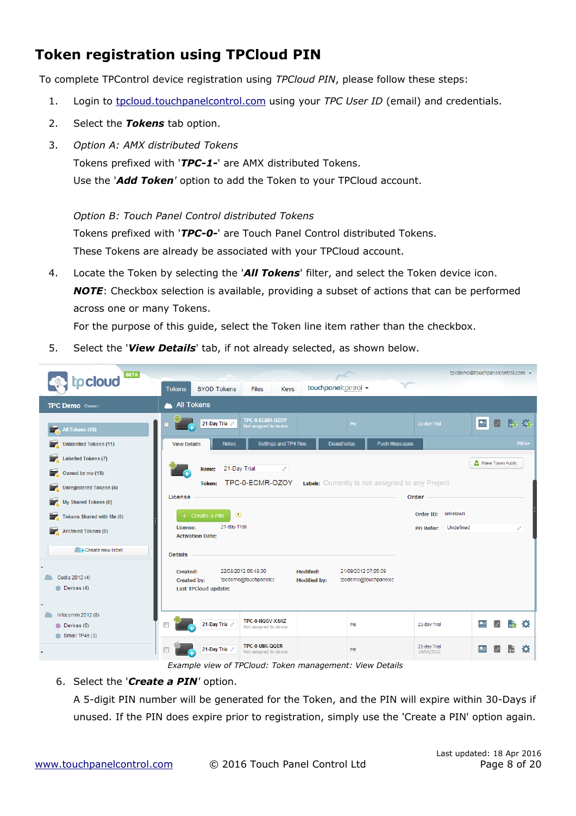## <span id="page-7-0"></span>**Token registration using TPCloud PIN**

To complete TPControl device registration using *TPCloud PIN*, please follow these steps:

- 1. Login to tpcloud touchpanelcontrol .com using your *TPC User ID* (email) and credentials.
- 2. Select the *Tokens* tab option.
- 3. *Option A: AMX distributed Tokens*

Tokens prefixed with '*TPC-1-*' are AMX distributed Tokens.

Use the '*Add Token'* option to add the Token to your TPCloud account.

*Option B: Touch Panel Control distributed Tokens*

Tokens prefixed with '*TPC-0-*' are Touch Panel Control distributed Tokens.

These Tokens are already be associated with your TPCloud account.

4. Locate the Token by selecting the '*All Tokens*' filter, and select the Token device icon. *NOTE*: Checkbox selection is available, providing a subset of actions that can be performed across one or many Tokens.

For the purpose of this guide, select the Token line item rather than the checkbox.

5. Select the '*View Details*' tab, if not already selected, as shown below.



*Example view of TPCloud: Token management: View Details*

#### 6. Select the '*Create a PIN'* option.

A 5-digit PIN number will be generated for the Token, and the PIN will expire within 30-Days if unused. If the PIN does expire prior to registration, simply use the 'Create a PIN' option again.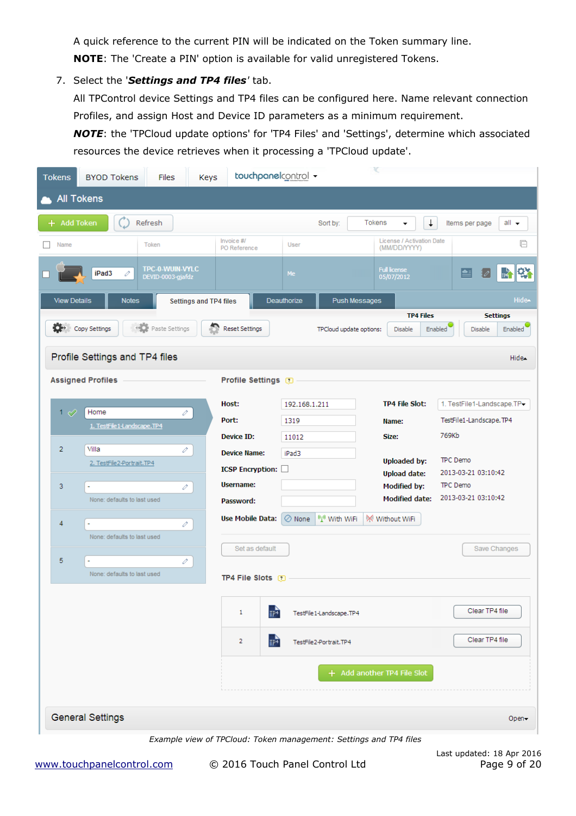A quick reference to the current PIN will be indicated on the Token summary line. **NOTE**: The 'Create a PIN' option is available for valid unregistered Tokens.

7. Select the '*Settings and TP4 files'* tab.

All TPControl device Settings and TP4 files can be configured here. Name relevant connection Profiles, and assign Host and Device ID parameters as a minimum requirement.

*NOTE*: the 'TPCloud update options' for 'TP4 Files' and 'Settings', determine which associated resources the device retrieves when it processing a 'TPCloud update'.

| <b>Tokens</b>       | <b>BYOD Tokens</b>             | <b>Files</b>                         | Keys                          | touchpanelcontrol +                                               |                         |                          | ¥                                          |                                                         |
|---------------------|--------------------------------|--------------------------------------|-------------------------------|-------------------------------------------------------------------|-------------------------|--------------------------|--------------------------------------------|---------------------------------------------------------|
|                     | <b>All Tokens</b>              |                                      |                               |                                                                   |                         |                          |                                            |                                                         |
| + Add Token         |                                | Refresh                              |                               |                                                                   | Sort by:                |                          | $\downarrow$<br><b>Tokens</b>              | all $\rightarrow$<br>Items per page                     |
| Name                |                                | Token                                |                               | Invoice #/<br>PO Reference                                        | User                    |                          | License / Activation Date<br>(MM/DD/YYYY)  | □                                                       |
|                     | iPad3<br>v                     | TPC-0-WUIN-VYLC<br>DEVID-0003-gjafdz |                               |                                                                   | Me                      |                          | <b>Full license</b><br>05/07/2012          | 降<br>图<br>$\frac{1}{104}$                               |
| <b>View Details</b> | <b>Notes</b>                   |                                      | <b>Settings and TP4 files</b> |                                                                   | Deauthorize             | <b>Push Messages</b>     |                                            | Hide-                                                   |
| o-                  | Copy Settings                  | <b>Paste Settings</b>                |                               | <b>Reset Settings</b>                                             |                         | TPCloud update options:  | <b>TP4 Files</b><br>Disable                | <b>Settings</b><br>Enabled<br><b>Enabled</b><br>Disable |
|                     | Profile Settings and TP4 files |                                      |                               |                                                                   |                         |                          |                                            | Hide-                                                   |
|                     | <b>Assigned Profiles</b>       |                                      |                               | <b>Profile Settings</b>                                           |                         |                          |                                            |                                                         |
| 1 $\varnothing$     | Home                           | v                                    |                               | Host:                                                             | 192.168.1.211           |                          | <b>TP4 File Slot:</b>                      | 1. TestFile1-Landscape.TP-                              |
|                     | 1. TestFile 1-Landscape.TP4    |                                      |                               | Port:                                                             | 1319                    |                          | Name:                                      | TestFile1-Landscape.TP4                                 |
| $\overline{2}$      | Villa                          | v                                    |                               | <b>Device ID:</b>                                                 | 11012                   |                          | Size:                                      | 769Kb                                                   |
|                     | 2. TestFile2-Portrait.TP4      |                                      |                               | <b>Device Name:</b><br><b>ICSP Encryption:</b>                    | iPad3                   |                          | <b>Uploaded by:</b>                        | TPC Demo                                                |
| 3                   | L.                             | v                                    |                               | <b>Username:</b>                                                  |                         |                          | <b>Upload date:</b><br><b>Modified by:</b> | 2013-03-21 03:10:42<br>TPC Demo                         |
|                     | None: defaults to last used    |                                      |                               | Password:                                                         |                         |                          | <b>Modified date:</b>                      | 2013-03-21 03:10:42                                     |
| 4                   | None: defaults to last used    | v                                    |                               | <b>Use Mobile Data:</b>                                           | $\oslash$ None          | <sup>(1)</sup> With WiFi | W Without WiFi                             |                                                         |
| 5                   |                                |                                      |                               | Set as default                                                    |                         |                          |                                            | Save Changes                                            |
|                     | None: defaults to last used    | v                                    |                               | <b>TP4 File Slots</b>                                             |                         |                          |                                            |                                                         |
|                     |                                |                                      |                               | TP <sup>4</sup><br>1                                              | TestFile1-Landscape.TP4 |                          |                                            | Clear TP4 file                                          |
|                     |                                |                                      |                               | $\Gamma$<br>2                                                     | TestFile2-Portrait.TP4  |                          |                                            | Clear TP4 file                                          |
|                     |                                |                                      |                               |                                                                   |                         |                          | + Add another TP4 File Slot                |                                                         |
|                     | <b>General Settings</b>        |                                      |                               |                                                                   |                         |                          |                                            | Open-                                                   |
|                     |                                |                                      |                               | Example view of TPCloud: Token management: Settings and TP4 files |                         |                          |                                            |                                                         |

 [www . touchpanelcontrol .com](http://www.touchpanelcontrol.com/) © 2016 Touch Panel Control Ltd Page 9 of 20

Last updated: 18 Apr 2016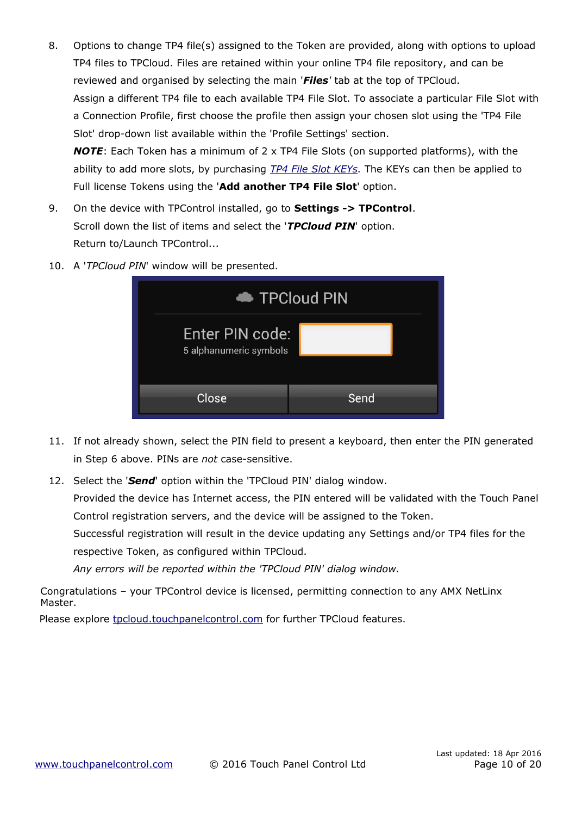- <span id="page-9-0"></span>8. Options to change TP4 file(s) assigned to the Token are provided, along with options to upload TP4 files to TPCloud. Files are retained within your online TP4 file repository, and can be reviewed and organised by selecting the main '*Files'* tab at the top of TPCloud. Assign a different TP4 file to each available TP4 File Slot. To associate a particular File Slot with a Connection Profile, first choose the profile then assign your chosen slot using the 'TP4 File Slot' drop-down list available within the 'Profile Settings' section. *NOTE*: Each Token has a minimum of 2 x TP4 File Slots (on supported platforms), with the ability to add more slots, by purchasing *[TP4 File Slot KEYs.](http://www.touchpanelcontrol.com/products/tp4-key.html)* The KEYs can then be applied to Full license Tokens using the '**Add another TP4 File Slot**' option.
- 9. On the device with TPControl installed, go to **Settings -> TPControl**. Scroll down the list of items and select the '*TPCloud PIN*' option. Return to/Launch TPControl...
- 10. A '*TPCloud PIN*' window will be presented.

| TPCloud PIN                               |      |  |  |  |  |  |
|-------------------------------------------|------|--|--|--|--|--|
| Enter PIN code:<br>5 alphanumeric symbols |      |  |  |  |  |  |
| Close                                     | Send |  |  |  |  |  |

- 11. If not already shown, select the PIN field to present a keyboard, then enter the PIN generated in Step 6 above. PINs are *not* case-sensitive.
- 12. Select the '*Send*' option within the 'TPCloud PIN' dialog window.

Provided the device has Internet access, the PIN entered will be validated with the Touch Panel Control registration servers, and the device will be assigned to the Token.

Successful registration will result in the device updating any Settings and/or TP4 files for the respective Token, as configured within TPCloud.

*Any errors will be reported within the 'TPCloud PIN' dialog window.*

Congratulations – your TPControl device is licensed, permitting connection to any AMX NetLinx Master.

Please explore tpcloud .touchpanelcontrol.com for further TPCloud features.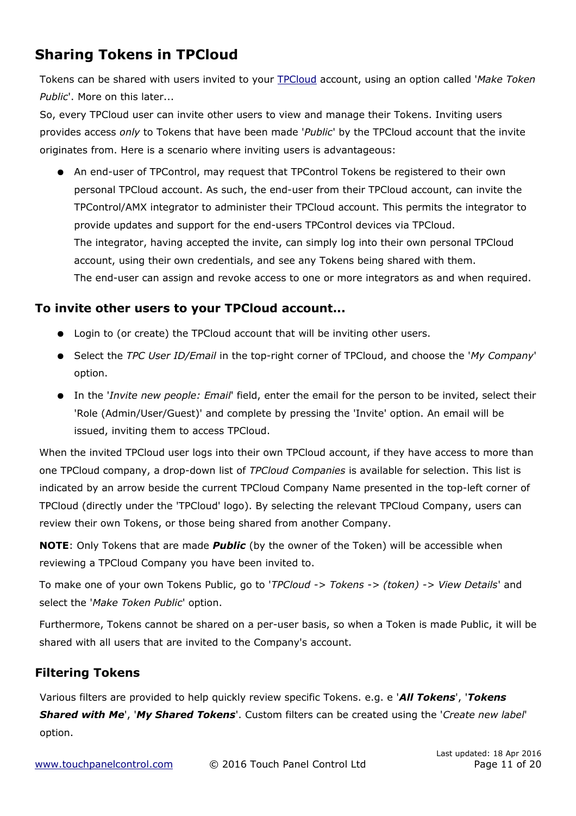## **Sharing Tokens in TPCloud**

Tokens can be shared with users invited to your [TPCloud](http://tpcloud.touchpanelcontrol.com/) account, using an option called '*Make Token Public*'. More on this later...

<span id="page-10-0"></span>So, every TPCloud user can invite other users to view and manage their Tokens. Inviting users provides access *only* to Tokens that have been made '*Public*' by the TPCloud account that the invite originates from. Here is a scenario where inviting users is advantageous:

● An end-user of TPControl, may request that TPControl Tokens be registered to their own personal TPCloud account. As such, the end-user from their TPCloud account, can invite the TPControl/AMX integrator to administer their TPCloud account. This permits the integrator to provide updates and support for the end-users TPControl devices via TPCloud. The integrator, having accepted the invite, can simply log into their own personal TPCloud account, using their own credentials, and see any Tokens being shared with them. The end-user can assign and revoke access to one or more integrators as and when required.

### **To invite other users to your TPCloud account...**

- Login to (or create) the TPCloud account that will be inviting other users.
- Select the *TPC User ID/Email* in the top-right corner of TPCloud, and choose the '*My Company*' option.
- In the '*Invite new people: Email*' field, enter the email for the person to be invited, select their 'Role (Admin/User/Guest)' and complete by pressing the 'Invite' option. An email will be issued, inviting them to access TPCloud.

When the invited TPCloud user logs into their own TPCloud account, if they have access to more than one TPCloud company, a drop-down list of *TPCloud Companies* is available for selection. This list is indicated by an arrow beside the current TPCloud Company Name presented in the top-left corner of TPCloud (directly under the 'TPCloud' logo). By selecting the relevant TPCloud Company, users can review their own Tokens, or those being shared from another Company.

**NOTE**: Only Tokens that are made *Public* (by the owner of the Token) will be accessible when reviewing a TPCloud Company you have been invited to.

To make one of your own Tokens Public, go to '*TPCloud -> Tokens -> (token) -> View Details*' and select the '*Make Token Public*' option.

Furthermore, Tokens cannot be shared on a per-user basis, so when a Token is made Public, it will be shared with all users that are invited to the Company's account.

### **Filtering Tokens**

Various filters are provided to help quickly review specific Tokens. e.g. e '*All Tokens*', '*Tokens Shared with Me*', '*My Shared Tokens*'. Custom filters can be created using the '*Create new label*' option.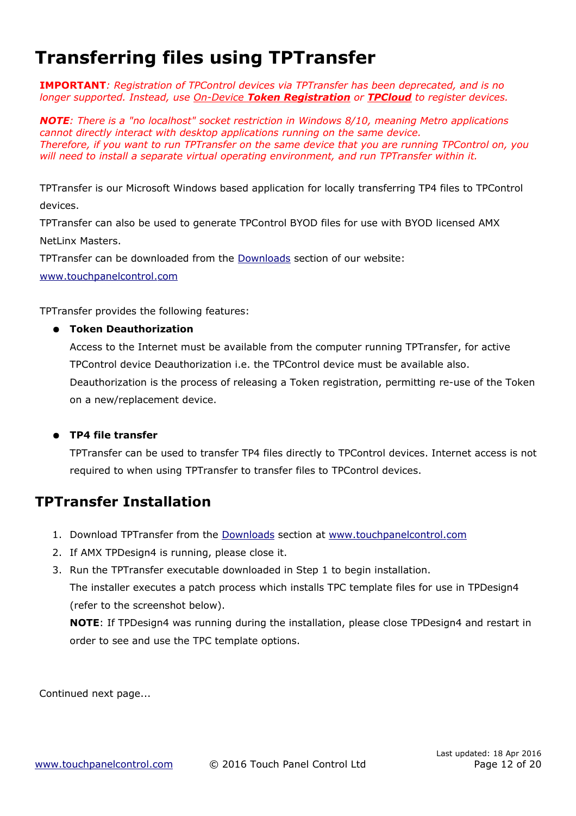# <span id="page-11-0"></span>**Transferring files using TPTransfer**

**IMPORTANT***: Registration of TPControl devices via TPTransfer has been deprecated, and is no longer supported. Instead, use [O](#page-5-0)[n-](#page-5-0)[D](#page-5-0)[evice](#page-5-0) [Token Registration](#page-5-0) or [TPCloud](#page-6-0) to register devices.* 

*NOTE: There is a "no localhost" socket restriction in Windows 8/10, meaning Metro applications cannot directly interact with desktop applications running on the same device. Therefore, if you want to run TPTransfer on the same device that you are running TPControl on, you will need to install a separate virtual operating environment, and run TPTransfer within it.*

TPTransfer is our Microsoft Windows based application for locally transferring TP4 files to TPControl devices.

TPTransfer can also be used to generate TPControl BYOD files for use with BYOD licensed AMX NetLinx Masters.

TPTransfer can be downloaded from the [Downloads](http://www.touchpanelcontrol.com/catalog/product/download) section of our website:

 [www . touchpanelcontrol .com](http://www.touchpanelcontrol.com/)

TPTransfer provides the following features:

#### ● **Token Deauthorization**

Access to the Internet must be available from the computer running TPTransfer, for active TPControl device Deauthorization i.e. the TPControl device must be available also. Deauthorization is the process of releasing a Token registration, permitting re-use of the Token on a new/replacement device.

#### ● **TP4 file transfer**

TPTransfer can be used to transfer TP4 files directly to TPControl devices. Internet access is not required to when using TPTransfer to transfer files to TPControl devices.

### **TPTransfer Installation**

- 1. Download TPTransfer from the [Downloads](http://www.touchpanelcontrol.com/catalog/product/download) section at www.touchpanelcontrol.com
- 2. If AMX TPDesign4 is running, please close it.
- 3. Run the TPTransfer executable downloaded in Step 1 to begin installation.

The installer executes a patch process which installs TPC template files for use in TPDesign4 (refer to the screenshot below).

**NOTE**: If TPDesign4 was running during the installation, please close TPDesign4 and restart in order to see and use the TPC template options.

Continued next page...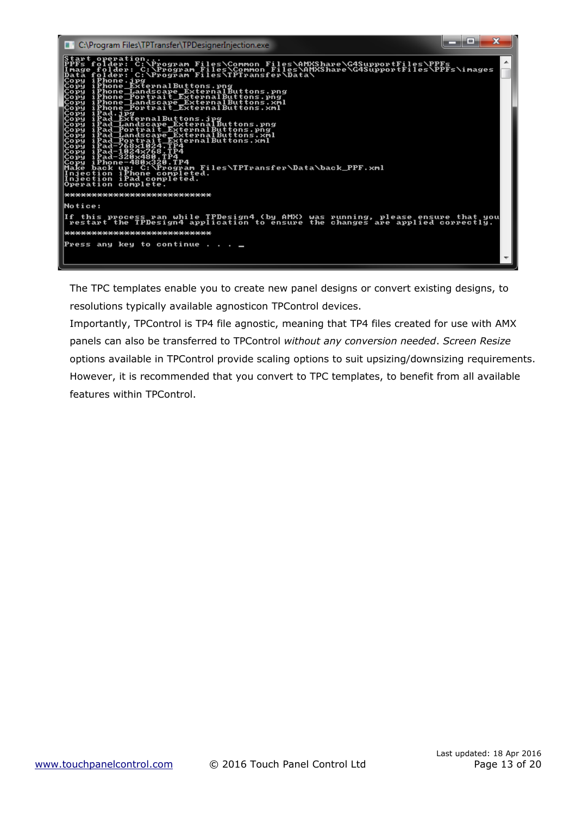

The TPC templates enable you to create new panel designs or convert existing designs, to resolutions typically available agnosticon TPControl devices.

Importantly, TPControl is TP4 file agnostic, meaning that TP4 files created for use with AMX panels can also be transferred to TPControl *without any conversion needed*. *Screen Resize* options available in TPControl provide scaling options to suit upsizing/downsizing requirements. However, it is recommended that you convert to TPC templates, to benefit from all available features within TPControl.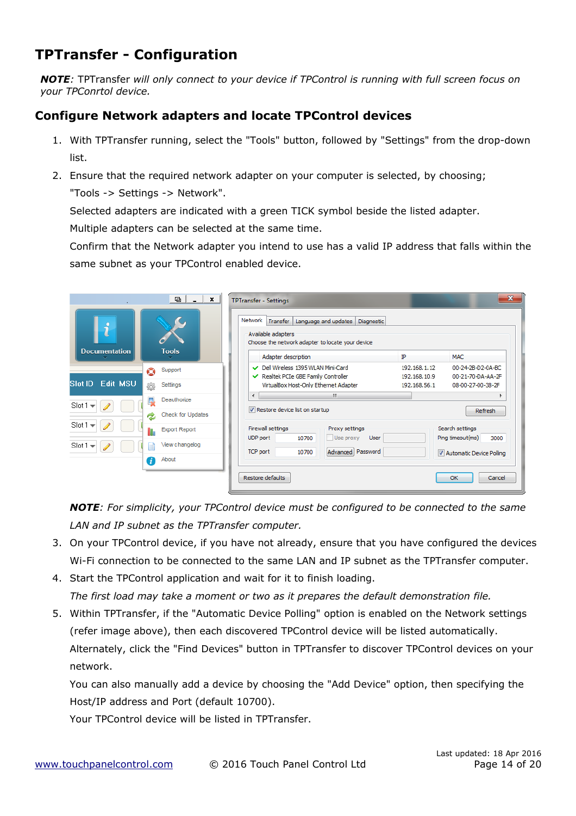## **TPTransfer - Configuration**

*NOTE:* TPTransfer *will only connect to your device if TPControl is running with full screen focus on your TPConrtol device.*

### **Configure Network adapters and locate TPControl devices**

- 1. With TPTransfer running, select the "Tools" button, followed by "Settings" from the drop-down list.
- 2. Ensure that the required network adapter on your computer is selected, by choosing;

"Tools -> Settings -> Network".

Selected adapters are indicated with a green TICK symbol beside the listed adapter.

Multiple adapters can be selected at the same time.

Confirm that the Network adapter you intend to use has a valid IP address that falls within the same subnet as your TPControl enabled device.

|                                            | $\blacksquare$<br>$\times$ | <b>TPTransfer - Settings</b>                                                                                                        | $\mathbf{x}$                                                                |
|--------------------------------------------|----------------------------|-------------------------------------------------------------------------------------------------------------------------------------|-----------------------------------------------------------------------------|
| $\mathbf{\hat{i}}$<br><b>Documentation</b> | <b>Tools</b>               | Network<br>Transfer<br>Language and updates<br>Diagnostic<br>Available adapters<br>Choose the network adapter to locate your device |                                                                             |
|                                            |                            | Adapter description                                                                                                                 | ĪΡ<br>MAC.                                                                  |
|                                            | Support<br>O               | Dell Wireless 1395 WLAN Mini-Card<br>Realtek PCIe GBE Family Controller                                                             | 00-24-2B-D2-0A-BC<br>192, 168, 1, 12<br>00-21-70-DA-AA-2F<br>192, 168, 10.9 |
| <b>Edit MSU</b><br>Slot ID                 | Settings<br>懲              | VirtualBox Host-Only Ethernet Adapter                                                                                               | 08-00-27-00-38-2F<br>192, 168, 56, 1                                        |
| $Slot1 =$                                  | Deauthorize<br>مادا        | m.<br>٠                                                                                                                             |                                                                             |
|                                            | Check for Updates<br>z     | Restore device list on startup                                                                                                      | Refresh                                                                     |
| $Slot1 =$                                  | <b>Export Report</b>       | Firewall settings<br>Proxy settings<br><b>UDP</b> port<br>Use proxy<br>User<br>10700                                                | Search settings<br>Ping timeout(ms)<br>3000                                 |
| $Slot1 =$                                  | View changelog<br>∃        | TCP port<br>Advanced Password<br>10700                                                                                              | Automatic Device Polling                                                    |
|                                            | About<br>$\bullet$         |                                                                                                                                     |                                                                             |
|                                            |                            | Restore defaults                                                                                                                    | OK<br>Cancel                                                                |

*NOTE: For simplicity, your TPControl device must be configured to be connected to the same LAN and IP subnet as the TPTransfer computer.*

- 3. On your TPControl device, if you have not already, ensure that you have configured the devices Wi-Fi connection to be connected to the same LAN and IP subnet as the TPTransfer computer.
- 4. Start the TPControl application and wait for it to finish loading. *The first load may take a moment or two as it prepares the default demonstration file.*
- 5. Within TPTransfer, if the "Automatic Device Polling" option is enabled on the Network settings (refer image above), then each discovered TPControl device will be listed automatically. Alternately, click the "Find Devices" button in TPTransfer to discover TPControl devices on your network.

You can also manually add a device by choosing the "Add Device" option, then specifying the Host/IP address and Port (default 10700).

Your TPControl device will be listed in TPTransfer.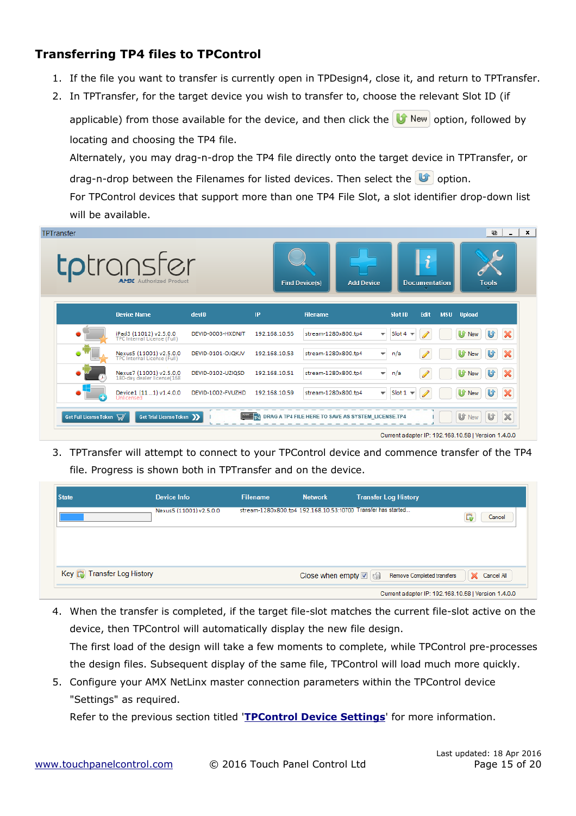### **Transferring TP4 files to TPControl**

- 1. If the file you want to transfer is currently open in TPDesign4, close it, and return to TPTransfer.
- 2. In TPTransfer, for the target device you wish to transfer to, choose the relevant Slot ID (if

applicable) from those available for the device, and then click the  $\|\mathbf{U}\|$  New option, followed by locating and choosing the TP4 file.

Alternately, you may drag-n-drop the TP4 file directly onto the target device in TPTransfer, or drag-n-drop between the Filenames for listed devices. Then select the  $\mathbf{U}$  option. For TPControl devices that support more than one TP4 File Slot, a slot identifier drop-down list

will be available.

| <b>TPTransfer</b>      | <b>tp</b> transfer<br>APTX Authorized Product          |                   |               | <b>Find Device(s)</b><br><b>Add Device</b>                            | R<br><b>Documentation</b>                           | ⊕<br>×<br><b>Tools</b>                          |
|------------------------|--------------------------------------------------------|-------------------|---------------|-----------------------------------------------------------------------|-----------------------------------------------------|-------------------------------------------------|
|                        | <b>Device Name</b>                                     | devID             | IP            | <b>Filename</b>                                                       | Edit<br>Slot ID                                     | <b>MSU</b> Upload                               |
|                        | iPad3 (11012) v2.5.0.0<br>TPC Internal License (Full)  | DEVID-0003-HXDNJT | 192.168.10.55 | stream-1280x800.tp4                                                   | Slot 4 $\sqrt{ }$<br>$\overline{\mathbf{v}}$        | $\boldsymbol{\varkappa}$<br>U<br><b>U</b> f New |
|                        | Nexus5 (11001) v2.5.0.0<br>TPC Internal License (Full) | DEVID-0101-OJQKJV | 192.168.10.53 | stream-1280x800.tp4                                                   | n/a<br>$\overline{\phantom{a}}$                     | ×<br>U<br>U<br>New                              |
|                        | Nexus7 (11001) v2.5.0.0<br>180-day dealer license(168  | DEVID-0102-UZIQSD | 192.168.10.51 | stream-1280x800.tp4                                                   | n/a<br>$\overline{\mathbf{v}}$                      | $\boldsymbol{\times}$<br>U<br>U<br>New          |
|                        | Device1 (111) v1.4.0.0<br>Unlicensed                   | DEVID-1002-FVUZHD | 192.168.10.59 | stream-1280x800.tp4                                                   | Slot $1 -$<br>$\overline{\phantom{a}}$              | $\boldsymbol{\varkappa}$<br>U<br>U<br>New       |
| Get Full License Token | Get Trial License Token >>                             |                   |               | <b>MANUFACTION</b> DRAG A TP4 FILE HERE TO SAVE AS SYSTEM_LICENSE.TP4 | Current adapter IP: 192.168.10.58   Version 1.4.0.0 | $\boldsymbol{\times}$<br>U<br>Uf New            |

3. TPTransfer will attempt to connect to your TPControl device and commence transfer of the TP4 file. Progress is shown both in TPTransfer and on the device.

| <b>State</b>                       | Device Info             | <b>Filename</b>                                              | <b>Network</b>               | <b>Transfer Log History</b>                         |                 |
|------------------------------------|-------------------------|--------------------------------------------------------------|------------------------------|-----------------------------------------------------|-----------------|
|                                    | Nexus5 (11001) v2.5.0.0 | stream-1280x800.tp4 192.168.10.53:10700 Transfer has started |                              |                                                     | Cancel<br>Lв    |
|                                    |                         |                                                              |                              |                                                     |                 |
|                                    |                         |                                                              |                              |                                                     |                 |
| Key <b>Co</b> Transfer Log History |                         |                                                              | Close when empty <b>☑</b> ଗୁ | Remove Completed transfers                          | Cancel All<br>× |
|                                    |                         |                                                              |                              | Current adapter IP: 192.168.10.58   Version 1.4.0.0 |                 |

- 4. When the transfer is completed, if the target file-slot matches the current file-slot active on the device, then TPControl will automatically display the new file design. The first load of the design will take a few moments to complete, while TPControl pre-processes the design files. Subsequent display of the same file, TPControl will load much more quickly.
- 5. Configure your AMX NetLinx master connection parameters within the TPControl device "Settings" as required.

Refer to the previous section titled '**[TPControl Device Settings](#page-2-0)**' for more information.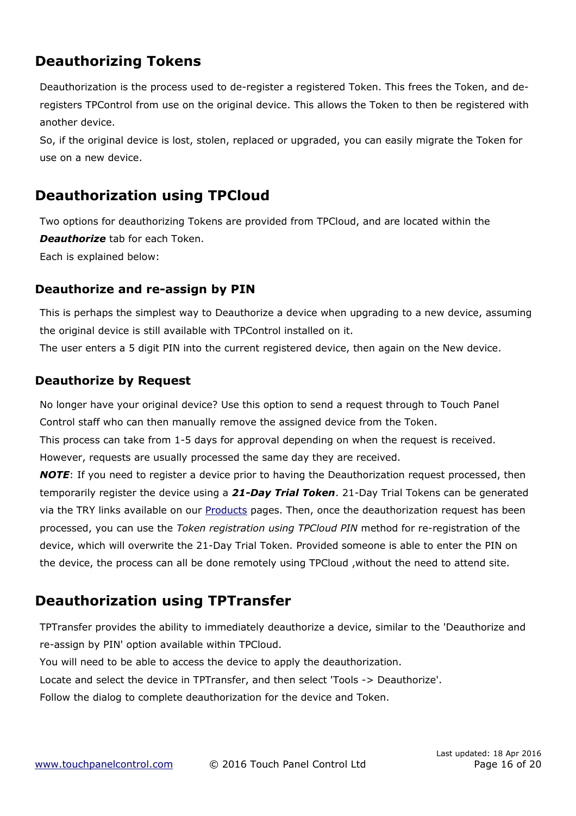## **Deauthorizing Tokens**

Deauthorization is the process used to de-register a registered Token. This frees the Token, and deregisters TPControl from use on the original device. This allows the Token to then be registered with another device.

So, if the original device is lost, stolen, replaced or upgraded, you can easily migrate the Token for use on a new device.

## **Deauthorization using TPCloud**

Two options for deauthorizing Tokens are provided from TPCloud, and are located within the *Deauthorize* tab for each Token. Each is explained below:

### **Deauthorize and re-assign by PIN**

This is perhaps the simplest way to Deauthorize a device when upgrading to a new device, assuming the original device is still available with TPControl installed on it.

The user enters a 5 digit PIN into the current registered device, then again on the New device.

### **Deauthorize by Request**

No longer have your original device? Use this option to send a request through to Touch Panel Control staff who can then manually remove the assigned device from the Token.

This process can take from 1-5 days for approval depending on when the request is received. However, requests are usually processed the same day they are received.

*NOTE*: If you need to register a device prior to having the Deauthorization request processed, then temporarily register the device using a *21-Day Trial Token*. 21-Day Trial Tokens can be generated via the TRY links available on our **Products** pages. Then, once the deauthorization request has been processed, you can use the *[Token registration using TPCloud PIN](#page-7-0)* method for re-registration of the device, which will overwrite the 21-Day Trial Token. Provided someone is able to enter the PIN on the device, the process can all be done remotely using TPCloud ,without the need to attend site.

## **Deauthorization using TPTransfer**

TPTransfer provides the ability to immediately deauthorize a device, similar to the 'Deauthorize and re-assign by PIN' option available within TPCloud.

You will need to be able to access the device to apply the deauthorization.

Locate and select the device in TPTransfer, and then select 'Tools -> Deauthorize'.

Follow the dialog to complete deauthorization for the device and Token.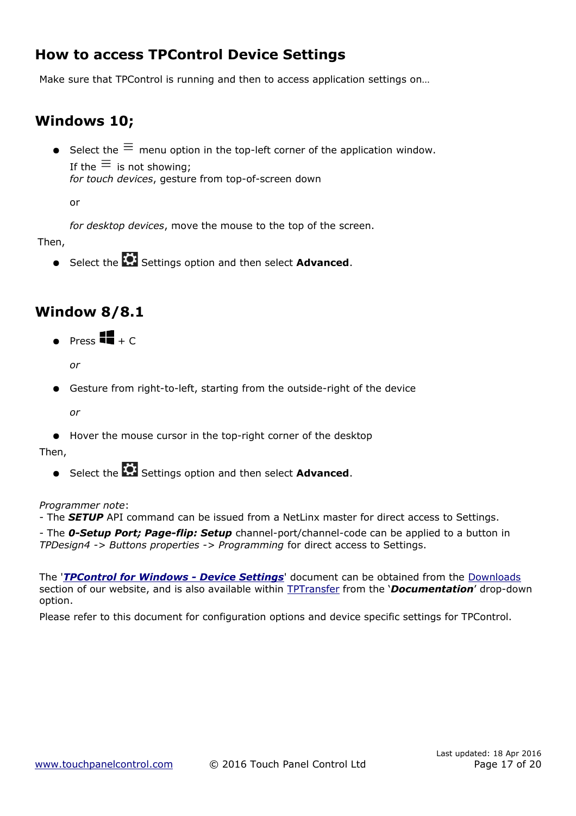## <span id="page-16-0"></span>**How to access TPControl Device Settings**

Make sure that TPControl is running and then to access application settings on…

## **Windows 10;**

● Select the  $\equiv$  menu option in the top-left corner of the application window. If the  $\equiv$  is not showing; *for touch devices*, gesture from top-of-screen down

or

*for desktop devices*, move the mouse to the top of the screen.

Then,

**•** Select the **Settings option and then select Advanced.** 

## **Window 8/8.1**

 $\bullet$  Press  $\blacksquare$  + C

*or*

Gesture from right-to-left, starting from the outside-right of the device

*or*

● Hover the mouse cursor in the top-right corner of the desktop

Then,

**•** Select the **C**: Settings option and then select **Advanced**.

#### *Programmer note*:

- The *SETUP* API command can be issued from a NetLinx master for direct access to Settings.

- The *0-Setup Port; Page-flip: Setup* channel-port/channel-code can be applied to a button in *TPDesign4 -> Buttons properties -> Programming* for direct access to Settings.

The '*[TPControl for Windows - Device Settings](http://www.touchpanelcontrol.com/files/pdf/TPControl%20for%20Windows%20-%20Device%20Settings.pdf)*' document can be obtained from the [Downloads](http://www.touchpanelcontrol.com/catalog/product/download) section of our website, and is also available within [TPTransfer](https://www.touchpanelcontrol.com/catalog/product/redirect/type/tptransfer/latest/1/s/w) from the '*Documentation*' drop-down option.

Please refer to this document for configuration options and device specific settings for TPControl.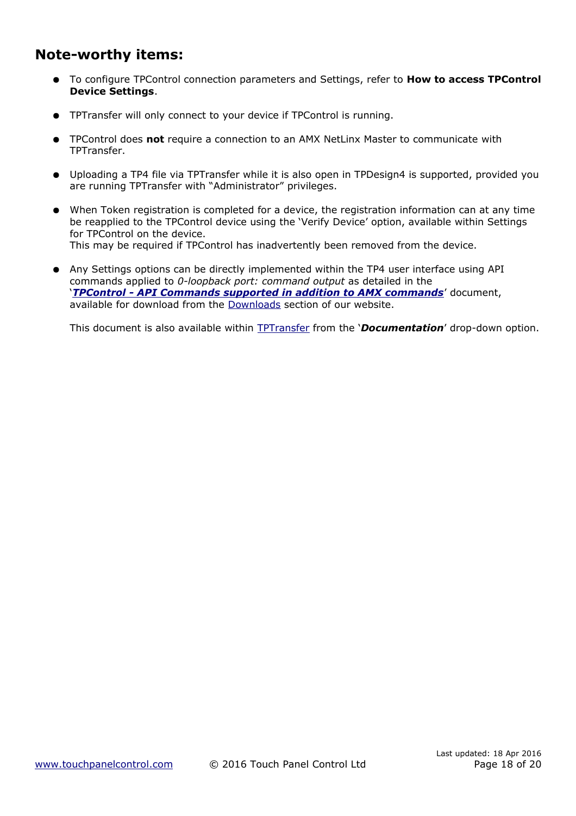## **Note-worthy items:**

- To configure TPControl connection parameters and Settings, refer to **[How to access TPControl](#page-16-0) [Device Settings](#page-16-0)**.
- TPTransfer will only connect to your device if TPControl is running.
- TPControl does **not** require a connection to an AMX NetLinx Master to communicate with TPTransfer.
- Uploading a TP4 file via TPTransfer while it is also open in TPDesign4 is supported, provided you are running TPTransfer with "Administrator" privileges.
- When Token registration is completed for a device, the registration information can at any time be reapplied to the TPControl device using the 'Verify Device' option, available within Settings for TPControl on the device. This may be required if TPControl has inadvertently been removed from the device.
- Any Settings options can be directly implemented within the TP4 user interface using API commands applied to *0-loopback port: command output* as detailed in the '*[TPControl - API Commands supported in addition to AMX commands](http://www.touchpanelcontrol.com/files/pdf/TPControl%20-%20API%20Commands%20supported%20in%20addition%20to%20AMX%20commands.pdf)*' document, available for download from the [Downloads](http://www.touchpanelcontrol.com/catalog/product/download) section of our website.

This document is also available within [TPTransfer](https://www.touchpanelcontrol.com/catalog/product/redirect/type/tptransfer/latest/1/s/w) from the '*Documentation*' drop-down option.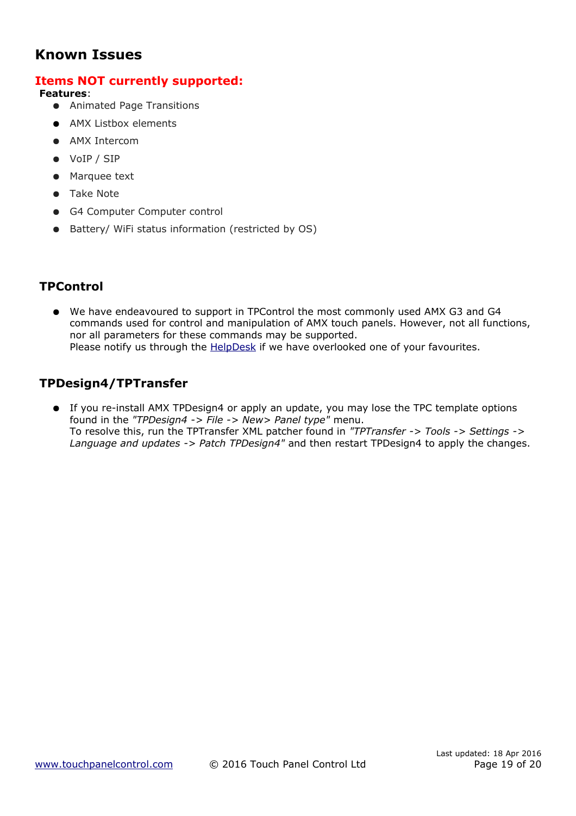### **Known Issues**

### **Items NOT currently supported:**

**Features**:

- Animated Page Transitions
- AMX Listbox elements
- AMX Intercom
- VoIP / SIP
- Marquee text
- Take Note
- G4 Computer Computer control
- Battery/ WiFi status information (restricted by OS)

### **TPControl**

● We have endeavoured to support in TPControl the most commonly used AMX G3 and G4 commands used for control and manipulation of AMX touch panels. However, not all functions, nor all parameters for these commands may be supported. Please notify us through the **HelpDesk** if we have overlooked one of your favourites.

### **TPDesign4/TPTransfer**

● If you re-install AMX TPDesign4 or apply an update, you may lose the TPC template options found in the *"TPDesign4 -> File -> New> Panel type"* menu. To resolve this, run the TPTransfer XML patcher found in *"TPTransfer -> Tools -> Settings -> Language and updates -> Patch TPDesign4"* and then restart TPDesign4 to apply the changes.